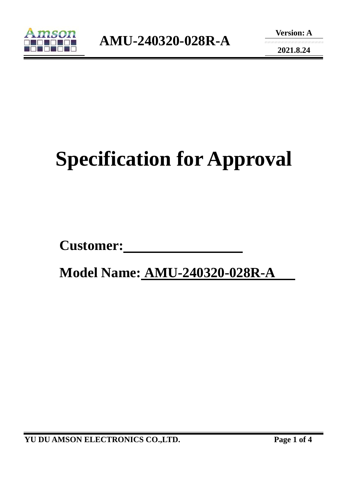

**2021.8.24** 

# **Specification for Approval**

Customer:

 **Model Name: AMU-240320-028R-A**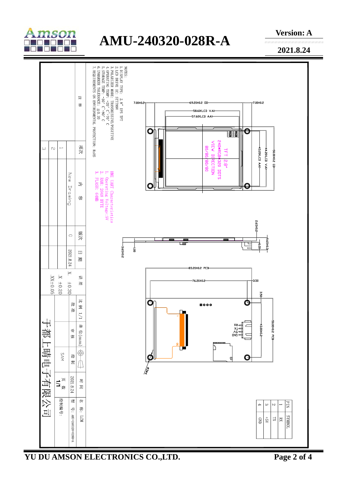

## **AMU-240320-028R-A**

**Version: A** 

**2021.8.24** 



**YU DU AMSON ELECTRONICS CO.,LTD. Page 2 of 4**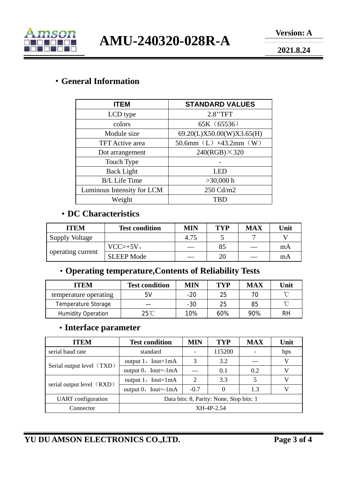

**AMU-240320-028R-A** 

**2021.8.24** 

#### ·**General Information**

| <b>ITEM</b>                | <b>STANDARD VALUES</b>            |  |  |  |
|----------------------------|-----------------------------------|--|--|--|
| LCD type                   | 2.8"TFT                           |  |  |  |
| colors                     | 65K (65536)                       |  |  |  |
| Module size                | 69.20(L)X50.00(W)X3.65(H)         |  |  |  |
| <b>TFT</b> Active area     | 50.6mm $(L) \times 43.2$ mm $(W)$ |  |  |  |
| Dot arrangement            | $240(RGB) \times 320$             |  |  |  |
| Touch Type                 |                                   |  |  |  |
| <b>Back Light</b>          | LED                               |  |  |  |
| <b>B/L Life Time</b>       | $>30,000$ h                       |  |  |  |
| Luminous Intensity for LCM | 250 Cd/m2                         |  |  |  |
| Weight                     | <b>TBD</b>                        |  |  |  |

#### ·**DC Characteristics**

| <b>ITEM</b>           | <b>Test condition</b> | MIN  | <b>TYP</b> | <b>MAX</b> | Unit |
|-----------------------|-----------------------|------|------------|------------|------|
| <b>Supply Voltage</b> |                       | 4.75 |            |            |      |
| operating current     | $VCC=+5V,$            |      | 85         |            | mA   |
|                       | <b>SLEEP Mode</b>     |      | 20         |            | mA   |

### ·**Operating temperature,Contents of Reliability Tests**

| <b>ITEM</b>               | <b>Test condition</b> | <b>MIN</b> | TYP | <b>MAX</b> | Unit |
|---------------------------|-----------------------|------------|-----|------------|------|
| temperature operating     | 5V                    | $-20$      | 25  |            | ∽    |
| Temperature Storage       |                       | $-30$      | 25  | 85         | ∽    |
| <b>Humidity Operation</b> | $25^{\circ}$ C        | 10%        | 60% | 90%        | RH   |

#### ·**Interface parameter**

| <b>ITEM</b>               | <b>Test condition</b>                    | MIN                         | <b>TYP</b> | <b>MAX</b> | Unit |
|---------------------------|------------------------------------------|-----------------------------|------------|------------|------|
| serial baud rate          | standard                                 |                             | 115200     |            | bps  |
| Serial output level (TXD) | output $1$ , Iout=1mA                    | 3                           | 3.2        |            | V    |
|                           | output $0$ , Iout=-1mA                   |                             | 0.1        | 0.2        | V    |
| serial output level (RXD) | output $1$ , Iout=1mA                    | $\mathcal{D}_{\mathcal{L}}$ | 3.3        |            | V    |
|                           | output $0$ , Iout=-1mA                   | $-0.7$                      |            | 1.3        | V    |
| <b>UART</b> configuration | Data bits: 8, Parity: None, Stop bits: 1 |                             |            |            |      |
| Connector                 | XH-4P-2.54                               |                             |            |            |      |